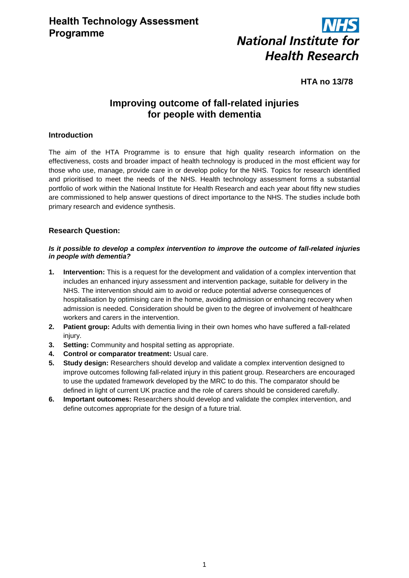

# **HTA no 13/78**

# **Improving outcome of fall-related injuries for people with dementia**

# **Introduction**

The aim of the HTA Programme is to ensure that high quality research information on the effectiveness, costs and broader impact of health technology is produced in the most efficient way for those who use, manage, provide care in or develop policy for the NHS. Topics for research identified and prioritised to meet the needs of the NHS. Health technology assessment forms a substantial portfolio of work within the National Institute for Health Research and each year about fifty new studies are commissioned to help answer questions of direct importance to the NHS. The studies include both primary research and evidence synthesis.

# **Research Question:**

### *Is it possible to develop a complex intervention to improve the outcome of fall-related injuries in people with dementia?*

- **1. Intervention:** This is a request for the development and validation of a complex intervention that includes an enhanced injury assessment and intervention package, suitable for delivery in the NHS. The intervention should aim to avoid or reduce potential adverse consequences of hospitalisation by optimising care in the home, avoiding admission or enhancing recovery when admission is needed. Consideration should be given to the degree of involvement of healthcare workers and carers in the intervention.
- **2. Patient group:** Adults with dementia living in their own homes who have suffered a fall-related injury.
- **3. Setting:** Community and hospital setting as appropriate.
- **4. Control or comparator treatment:** Usual care.
- **5. Study design:** Researchers should develop and validate a complex intervention designed to improve outcomes following fall-related injury in this patient group. Researchers are encouraged to use the updated framework developed by the MRC to do this. The comparator should be defined in light of current UK practice and the role of carers should be considered carefully.
- **6. Important outcomes:** Researchers should develop and validate the complex intervention, and define outcomes appropriate for the design of a future trial.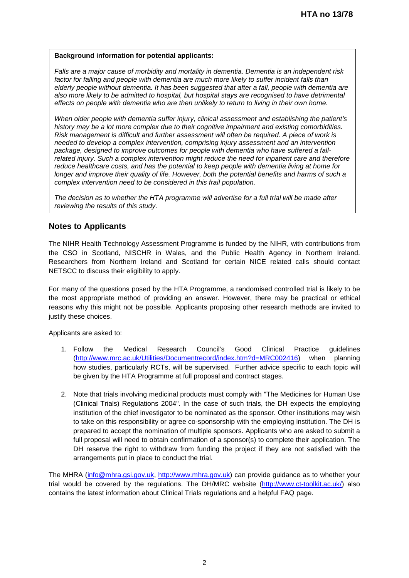#### **Background information for potential applicants:**

*Falls are a major cause of morbidity and mortality in dementia. Dementia is an independent risk*  factor for falling and people with dementia are much more likely to suffer incident falls than *elderly people without dementia. It has been suggested that after a fall, people with dementia are also more likely to be admitted to hospital, but hospital stays are recognised to have detrimental effects on people with dementia who are then unlikely to return to living in their own home.*

*When older people with dementia suffer injury, clinical assessment and establishing the patient's history may be a lot more complex due to their cognitive impairment and existing comorbidities. Risk management is difficult and further assessment will often be required. A piece of work is needed to develop a complex intervention, comprising injury assessment and an intervention package, designed to improve outcomes for people with dementia who have suffered a fallrelated injury. Such a complex intervention might reduce the need for inpatient care and therefore reduce healthcare costs, and has the potential to keep people with dementia living at home for longer and improve their quality of life. However, both the potential benefits and harms of such a complex intervention need to be considered in this frail population.*

*The decision as to whether the HTA programme will advertise for a full trial will be made after reviewing the results of this study.*

## **Notes to Applicants**

The NIHR Health Technology Assessment Programme is funded by the NIHR, with contributions from the CSO in Scotland, NISCHR in Wales, and the Public Health Agency in Northern Ireland. Researchers from Northern Ireland and Scotland for certain NICE related calls should contact NETSCC to discuss their eligibility to apply.

For many of the questions posed by the HTA Programme, a randomised controlled trial is likely to be the most appropriate method of providing an answer. However, there may be practical or ethical reasons why this might not be possible. Applicants proposing other research methods are invited to justify these choices.

Applicants are asked to:

- 1. Follow the Medical Research Council's Good Clinical Practice guidelines [\(http://www.mrc.ac.uk/Utilities/Documentrecord/index.htm?d=MRC002416\)](http://www.mrc.ac.uk/Utilities/Documentrecord/index.htm?d=MRC002416) when planning how studies, particularly RCTs, will be supervised. Further advice specific to each topic will be given by the HTA Programme at full proposal and contract stages.
- 2. Note that trials involving medicinal products must comply with "The Medicines for Human Use (Clinical Trials) Regulations 2004". In the case of such trials, the DH expects the employing institution of the chief investigator to be nominated as the sponsor. Other institutions may wish to take on this responsibility or agree co-sponsorship with the employing institution. The DH is prepared to accept the nomination of multiple sponsors. Applicants who are asked to submit a full proposal will need to obtain confirmation of a sponsor(s) to complete their application. The DH reserve the right to withdraw from funding the project if they are not satisfied with the arrangements put in place to conduct the trial.

The MHRA [\(info@mhra.gsi.gov.uk,](mailto:info@mhra.gsi.gov.uk) [http://www.mhra.gov.uk\)](http://www.mhra.gov.uk/) can provide guidance as to whether your trial would be covered by the regulations. The DH/MRC website [\(http://www.ct-toolkit.ac.uk/\)](http://www.ct-toolkit.ac.uk/) also contains the latest information about Clinical Trials regulations and a helpful FAQ page.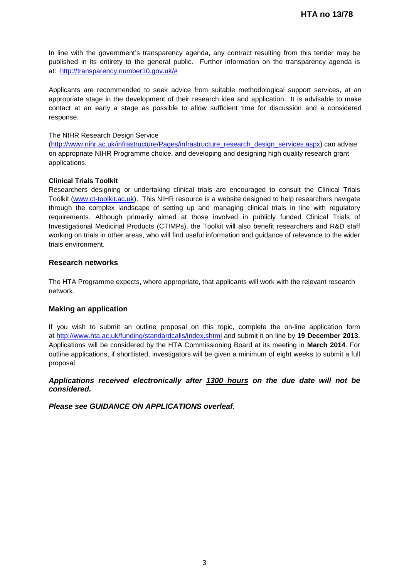In line with the government's transparency agenda, any contract resulting from this tender may be published in its entirety to the general public. Further information on the transparency agenda is at: [http://transparency.number10.gov.uk/#](http://transparency.number10.gov.uk/)

Applicants are recommended to seek advice from suitable methodological support services, at an appropriate stage in the development of their research idea and application. It is advisable to make contact at an early a stage as possible to allow sufficient time for discussion and a considered response.

#### The NIHR Research Design Service

[\(http://www.nihr.ac.uk/infrastructure/Pages/infrastructure\\_research\\_design\\_services.aspx\)](http://www.nihr.ac.uk/infrastructure/Pages/infrastructure_research_design_services.aspx) can advise on appropriate NIHR Programme choice, and developing and designing high quality research grant applications.

### **Clinical Trials Toolkit**

Researchers designing or undertaking clinical trials are encouraged to consult the Clinical Trials Toolkit [\(www.ct-toolkit.ac.uk\)](http://www.ct-toolkit.ac.uk/home). This NIHR resource is a website designed to help researchers navigate through the complex landscape of setting up and managing clinical trials in line with regulatory requirements. Although primarily aimed at those involved in publicly funded Clinical Trials of Investigational Medicinal Products (CTIMPs), the Toolkit will also benefit researchers and R&D staff working on trials in other areas, who will find useful information and guidance of relevance to the wider trials environment.

### **Research networks**

The HTA Programme expects, where appropriate, that applicants will work with the relevant research network.

### **Making an application**

If you wish to submit an outline proposal on this topic, complete the on-line application form at http://www.hta.ac.uk/funding/standardcalls/index.shtml and submit it on line by **19 December 2013**. Applications will be considered by the HTA Commissioning Board at its meeting in **March 2014**. For outline applications, if shortlisted, investigators will be given a minimum of eight weeks to submit a full proposal.

## *Applications received electronically after 1300 hours on the due date will not be considered.*

*Please see GUIDANCE ON APPLICATIONS overleaf.*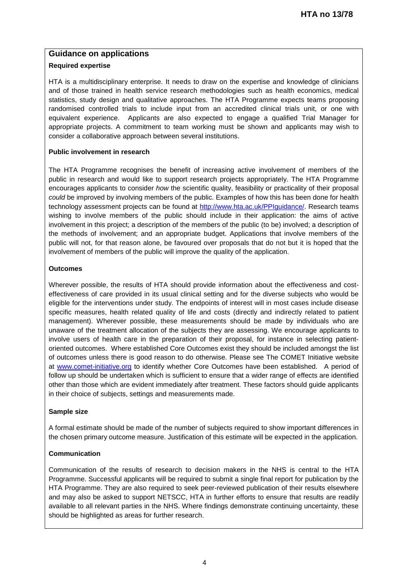# **Guidance on applications**

## **Required expertise**

HTA is a multidisciplinary enterprise. It needs to draw on the expertise and knowledge of clinicians and of those trained in health service research methodologies such as health economics, medical statistics, study design and qualitative approaches. The HTA Programme expects teams proposing randomised controlled trials to include input from an accredited clinical trials unit, or one with equivalent experience. Applicants are also expected to engage a qualified Trial Manager for appropriate projects. A commitment to team working must be shown and applicants may wish to consider a collaborative approach between several institutions.

## **Public involvement in research**

The HTA Programme recognises the benefit of increasing active involvement of members of the public in research and would like to support research projects appropriately. The HTA Programme encourages applicants to consider *how* the scientific quality, feasibility or practicality of their proposal *could* be improved by involving members of the public. Examples of how this has been done for health technology assessment projects can be found at [http://www.hta.ac.uk/PPIguidance/.](http://www.hta.ac.uk/PPIguidance/) Research teams wishing to involve members of the public should include in their application: the aims of active involvement in this project; a description of the members of the public (to be) involved; a description of the methods of involvement; and an appropriate budget. Applications that involve members of the public will not, for that reason alone, be favoured over proposals that do not but it is hoped that the involvement of members of the public will improve the quality of the application.

## **Outcomes**

Wherever possible, the results of HTA should provide information about the effectiveness and costeffectiveness of care provided in its usual clinical setting and for the diverse subjects who would be eligible for the interventions under study. The endpoints of interest will in most cases include disease specific measures, health related quality of life and costs (directly and indirectly related to patient management). Wherever possible, these measurements should be made by individuals who are unaware of the treatment allocation of the subjects they are assessing. We encourage applicants to involve users of health care in the preparation of their proposal, for instance in selecting patientoriented outcomes. Where established Core Outcomes exist they should be included amongst the list of outcomes unless there is good reason to do otherwise. Please see The COMET Initiative website at [www.comet-initiative.org](http://www.comet-initiative.org/) to identify whether Core Outcomes have been established. A period of follow up should be undertaken which is sufficient to ensure that a wider range of effects are identified other than those which are evident immediately after treatment. These factors should guide applicants in their choice of subjects, settings and measurements made.

### **Sample size**

A formal estimate should be made of the number of subjects required to show important differences in the chosen primary outcome measure. Justification of this estimate will be expected in the application.

## **Communication**

Communication of the results of research to decision makers in the NHS is central to the HTA Programme. Successful applicants will be required to submit a single final report for publication by the HTA Programme. They are also required to seek peer-reviewed publication of their results elsewhere and may also be asked to support NETSCC, HTA in further efforts to ensure that results are readily available to all relevant parties in the NHS. Where findings demonstrate continuing uncertainty, these should be highlighted as areas for further research.